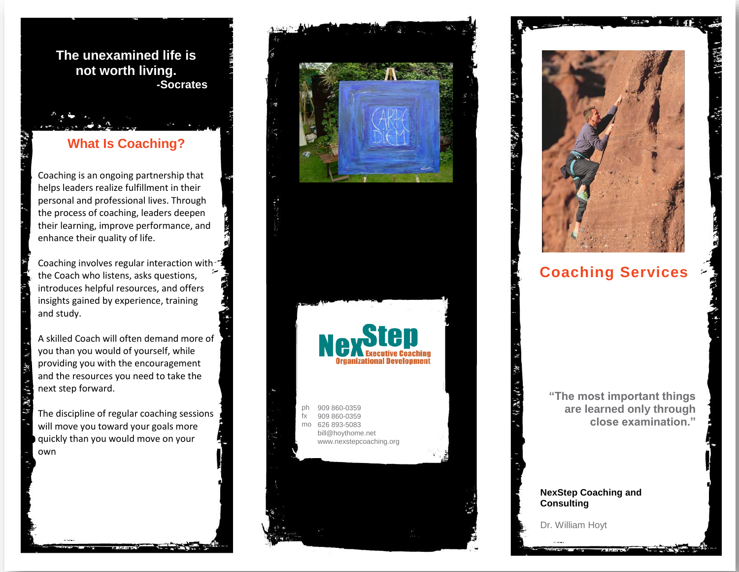**The unexamined life is not worth living. -Socrates**

# **What Is Coaching?**

Coaching is an ongoing partnership that helps leaders realize fulfillment in their personal and professional lives. Through the process of coaching, leaders deepen their learning, improve performance, and enhance their quality of life.

Coaching involves regular interaction with-\* the Coach who listens, asks questions, introduces helpful resources, and offers insights gained by experience, training and study.

A skilled Coach will often demand more of you than you would of yourself, while providing you with the encouragement and the resources you need to take the next step forward.

The discipline of regular coaching sessions will move you toward your goals more quickly than you would move on your own



# **Coaching Services**

**"The most important things are learned only through close examination."**

#### **NexStep Coaching and Consulting**

Dr. William Hoyt